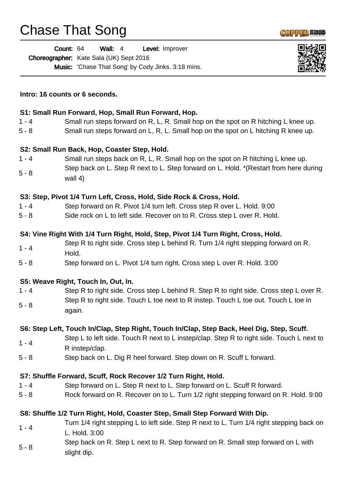## Chase That Song

|         | Count: 64<br>Wall: $4$<br>Level: Improver                                                                   |  |
|---------|-------------------------------------------------------------------------------------------------------------|--|
|         | Choreographer: Kate Sala (UK) Sept 2016                                                                     |  |
|         | <b>Music:</b> 'Chase That Song' by Cody Jinks. 3:18 mins.                                                   |  |
|         | Intro: 16 counts or 6 seconds.                                                                              |  |
|         | S1: Small Run Forward, Hop, Small Run Forward, Hop.                                                         |  |
| $1 - 4$ | Small run steps forward on R, L, R. Small hop on the spot on R hitching L knee up.                          |  |
| $5 - 8$ | Small run steps forward on L, R, L. Small hop on the spot on L hitching R knee up.                          |  |
|         | S2: Small Run Back, Hop, Coaster Step, Hold.                                                                |  |
| $1 - 4$ | Small run steps back on R, L, R. Small hop on the spot on R hitching L knee up.                             |  |
| $5 - 8$ | Step back on L. Step R next to L. Step forward on L. Hold. * (Restart from here during<br>wall 4)           |  |
|         | S3: Step, Pivot 1/4 Turn Left, Cross, Hold, Side Rock & Cross, Hold.                                        |  |
| $1 - 4$ | Step forward on R. Pivot 1/4 turn left. Cross step R over L. Hold. 9:00                                     |  |
| $5 - 8$ | Side rock on L to left side. Recover on to R. Cross step L over R. Hold.                                    |  |
|         | S4: Vine Right With 1/4 Turn Right, Hold, Step, Pivot 1/4 Turn Right, Cross, Hold.                          |  |
| $1 - 4$ | Step R to right side. Cross step L behind R. Turn 1/4 right stepping forward on R.<br>Hold.                 |  |
| $5 - 8$ | Step forward on L. Pivot 1/4 turn right. Cross step L over R. Hold. 3:00                                    |  |
|         | S5: Weave Right, Touch In, Out, In.                                                                         |  |
| $1 - 4$ | Step R to right side. Cross step L behind R. Step R to right side. Cross step L over R.                     |  |
| $5 - 8$ | Step R to right side. Touch L toe next to R instep. Touch L toe out. Touch L toe in<br>again.               |  |
|         | S6: Step Left, Touch In/Clap, Step Right, Touch In/Clap, Step Back, Heel Dig, Step, Scuff.                  |  |
| $1 - 4$ | Step L to left side. Touch R next to L instep/clap. Step R to right side. Touch L next to<br>R instep/clap. |  |
| $5 - 8$ | Step back on L. Dig R heel forward. Step down on R. Scuff L forward.                                        |  |
|         | S7: Shuffle Forward, Scuff, Rock Recover 1/2 Turn Right, Hold.                                              |  |
| $1 - 4$ | Step forward on L. Step R next to L. Step forward on L. Scuff R forward.                                    |  |
| $5 - 8$ | Rock forward on R. Recover on to L. Turn 1/2 right stepping forward on R. Hold. 9:00                        |  |
|         | S8: Shuffle 1/2 Turn Right, Hold, Coaster Step, Small Step Forward With Dip.                                |  |
| $1 - 4$ | Turn 1/4 right stepping L to left side. Step R next to L. Turn 1/4 right stepping back on<br>L. Hold. 3:00  |  |
| $5 - 8$ | Step back on R. Step L next to R. Step forward on R. Small step forward on L with<br>slight dip.            |  |